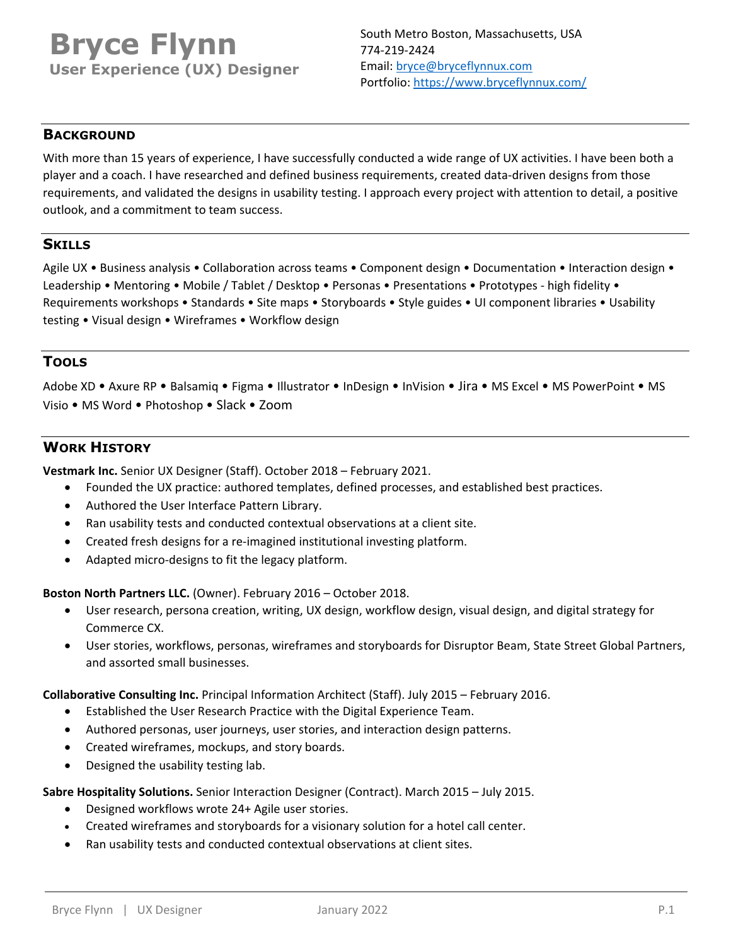# **Bryce Flynn User Experience (UX) Designer**

## **BACKGROUND**

With more than 15 years of experience, I have successfully conducted a wide range of UX activities. I have been both a player and a coach. I have researched and defined business requirements, created data‐driven designs from those requirements, and validated the designs in usability testing. I approach every project with attention to detail, a positive outlook, and a commitment to team success.

## **SKILLS**

Agile UX • Business analysis • Collaboration across teams • Component design • Documentation • Interaction design • Leadership • Mentoring • Mobile / Tablet / Desktop • Personas • Presentations • Prototypes - high fidelity • Requirements workshops • Standards • Site maps • Storyboards • Style guides • UI component libraries • Usability testing • Visual design • Wireframes • Workflow design

# **TOOLS**

Adobe XD • Axure RP • Balsamiq • Figma • Illustrator • InDesign • InVision • Jira • MS Excel • MS PowerPoint • MS Visio • MS Word • Photoshop • Slack • Zoom

## **WORK HISTORY**

**Vestmark Inc.** Senior UX Designer (Staff). October 2018 – February 2021.

- Founded the UX practice: authored templates, defined processes, and established best practices.
- Authored the User Interface Pattern Library.
- Ran usability tests and conducted contextual observations at a client site.
- Created fresh designs for a re‐imagined institutional investing platform.
- Adapted micro-designs to fit the legacy platform.

**Boston North Partners LLC.** (Owner). February 2016 – October 2018.

- User research, persona creation, writing, UX design, workflow design, visual design, and digital strategy for Commerce CX.
- User stories, workflows, personas, wireframes and storyboards for Disruptor Beam, State Street Global Partners, and assorted small businesses.

#### **Collaborative Consulting Inc.** Principal Information Architect (Staff). July 2015 – February 2016.

- Established the User Research Practice with the Digital Experience Team.
- Authored personas, user journeys, user stories, and interaction design patterns.
- Created wireframes, mockups, and story boards.
- Designed the usability testing lab.

**Sabre Hospitality Solutions.** Senior Interaction Designer (Contract). March 2015 – July 2015.

- Designed workflows wrote 24+ Agile user stories.
- Created wireframes and storyboards for a visionary solution for a hotel call center.
- Ran usability tests and conducted contextual observations at client sites.